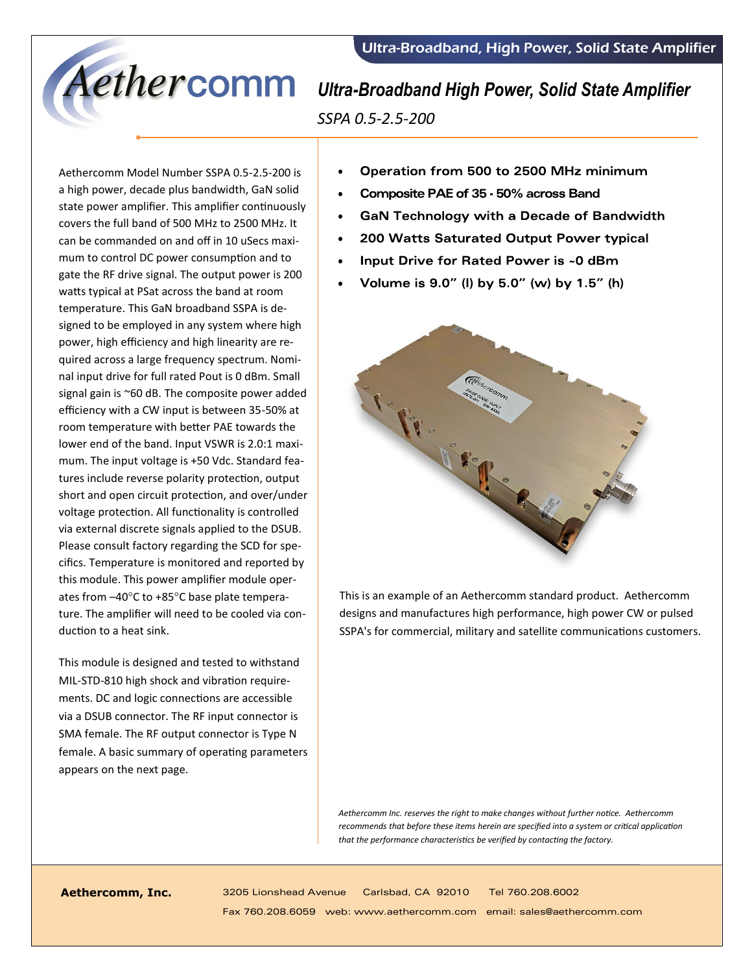

*SSPA 0.5-2.5-200*

Aethercomm Model Number SSPA 0.5-2.5-200 is a high power, decade plus bandwidth, GaN solid state power amplifier. This amplifier continuously covers the full band of 500 MHz to 2500 MHz. It can be commanded on and off in 10 uSecs maximum to control DC power consumption and to gate the RF drive signal. The output power is 200 watts typical at PSat across the band at room temperature. This GaN broadband SSPA is designed to be employed in any system where high power, high efficiency and high linearity are required across a large frequency spectrum. Nominal input drive for full rated Pout is 0 dBm. Small signal gain is ~60 dB. The composite power added efficiency with a CW input is between 35-50% at room temperature with better PAE towards the lower end of the band. Input VSWR is 2.0:1 maximum. The input voltage is +50 Vdc. Standard features include reverse polarity protection, output short and open circuit protection, and over/under voltage protection. All functionality is controlled via external discrete signals applied to the DSUB. Please consult factory regarding the SCD for specifics. Temperature is monitored and reported by this module. This power amplifier module operates from –40°C to +85°C base plate temperature. The amplifier will need to be cooled via conduction to a heat sink.

This module is designed and tested to withstand MIL-STD-810 high shock and vibration requirements. DC and logic connections are accessible via a DSUB connector. The RF input connector is SMA female. The RF output connector is Type N female. A basic summary of operating parameters appears on the next page.

- Operation from 500 to 2500 MHz minimum
- Composite PAE of 35 50% across Band  $\bullet$
- **GaN Technology with a Decade of Bandwidth**  $\bullet$
- 200 Watts Saturated Output Power typical  $\bullet$
- Input Drive for Rated Power is ~0 dBm
- Volume is 9.0" (I) by 5.0" (w) by 1.5" (h)



This is an example of an Aethercomm standard product. Aethercomm designs and manufactures high performance, high power CW or pulsed SSPA's for commercial, military and satellite communications customers.

*Aethercomm Inc. reserves the right to make changes without further notice. Aethercomm recommends that before these items herein are specified into a system or critical application that the performance characteristics be verified by contacting the factory.*

**Aethercomm, Inc.** 3205 Lionshead Avenue Carlsbad, CA 92010 Tel 760.208.6002 Fax 760.208.6059 web: www.aethercomm.com email: sales@aethercomm.com